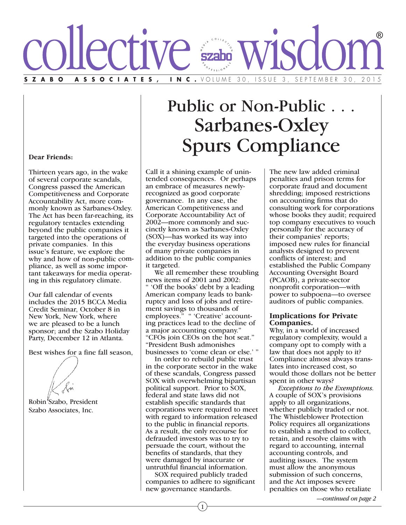

# Public or Non-Public. Sarbanes-Oxley Spurs Compliance

#### **Dear Friends:**

Thirteen years ago, in the wake of several corporate scandals, Congress passed the American Competitiveness and Corporate Accountability Act, more commonly known as Sarbanes-Oxley. The Act has been far-reaching, its regulatory tentacles extending beyond the public companies it targeted into the operations of private companies. In this issue's feature, we explore the why and how of non-public compliance, as well as some important takeaways for media operating in this regulatory climate.

Our fall calendar of events includes the 2015 BCCA Media Credit Seminar, October 8 in New York, New York, where we are pleased to be a lunch sponsor; and the Szabo Holiday Party, December 12 in Atlanta.

Best wishes for a fine fall season,

Robin Szabo, President Szabo Associates, Inc.

Call it a shining example of unintended consequences. Or perhaps an embrace of measures newlyrecognized as good corporate governance. In any case, the American Competitiveness and Corporate Accountability Act of 2002—more commonly and succinctly known as Sarbanes-Oxley (SOX)—has worked its way into the everyday business operations of many private companies in addition to the public companies it targeted.

 We all remember these troubling news items of 2001 and 2002: " 'Off the books' debt by a leading American company leads to bankruptcy and loss of jobs and retirement savings to thousands of employees." " 'Creative' accounting practices lead to the decline of a major accounting company." "CFOs join CEOs on the hot seat." "President Bush admonishes businesses to 'come clean or else.' "

 In order to rebuild public trust in the corporate sector in the wake of these scandals, Congress passed SOX with overwhelming bipartisan political support. Prior to SOX, federal and state laws did not establish specific standards that corporations were required to meet with regard to information released to the public in financial reports. As a result, the only recourse for defrauded investors was to try to persuade the court, without the benefits of standards, that they were damaged by inaccurate or untruthful financial information.

 SOX required publicly traded companies to adhere to significant new governance standards.

The new law added criminal penalties and prison terms for corporate fraud and document shredding; imposed restrictions on accounting firms that do consulting work for corporations whose books they audit; required top company executives to vouch personally for the accuracy of their companies' reports; imposed new rules for financial analysts designed to prevent conflicts of interest; and established the Public Company Accounting Oversight Board (PCAOB), a private-sector nonprofit corporation—with power to subpoena—to oversee auditors of public companies.

# **Implications for Private**

**Companies.** Why, in <sup>a</sup> world of increased regulatory complexity, would a company opt to comply with a law that does not apply to it? Compliance almost always translates into increased cost, so would those dollars not be better spent in other ways?

 *Exceptions to the Exemptions.* A couple of SOX's provisions apply to all organizations, whether publicly traded or not. The Whistleblower Protection Policy requires all organizations to establish a method to collect, retain, and resolve claims with regard to accounting, internal accounting controls, and auditing issues. The system must allow the anonymous submission of such concerns, and the Act imposes severe penalties on those who retaliate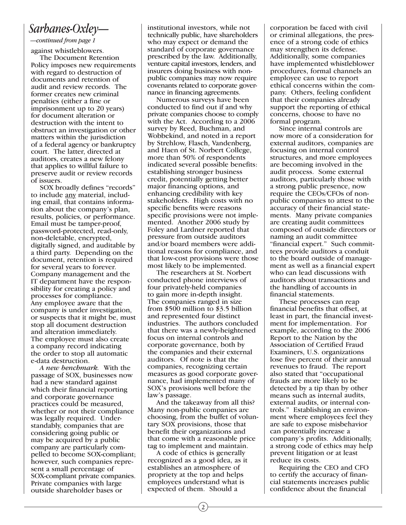### *Sarbanes-Oxley—*

### *—continued from page 1*

against whistleblowers.

 The Document Retention Policy imposes new requirements with regard to destruction of documents and retention of audit and review records. The former creates new criminal penalties (either a fine or imprisonment up to 20 years) for document alteration or destruction with the intent to obstruct an investigation or other matters within the jurisdiction of a federal agency or bankruptcy court. The latter, directed at auditors, creates a new felony that applies to willful failure to preserve audit or review records of issuers.

 SOX broadly defines "records" to include any material, including email, that contains information about the company's plan, results, policies, or performance. Email must be tamper-proof, password-protected, read-only, non-deletable, encrypted, digitally signed, and auditable by a third party. Depending on the document, retention is required for several years to forever. Company management and the IT department have the responsibility for creating a policy and processes for compliance. Any employee aware that the company is under investigation, or suspects that it might be, must stop all document destruction and alteration immediately. The employee must also create a company record indicating the order to stop all automatic e-data destruction.

 *A new benchmark.* With the passage of SOX, businesses now had a new standard against which their financial reporting and corporate governance practices could be measured, whether or not their compliance was legally required. Understandably, companies that are considering going public or may be acquired by a public company are particularly compelled to become SOX-compliant; however, such companies represent a small percentage of SOX-compliant private companies. Private companies with large outside shareholder bases or

institutional investors, while not technically public, have shareholders who may expect or demand the standard of corporate governance prescribed by the law. Additionally, venture capital investors, lenders, and insurers doing business with nonpublic companies may now require covenants related to corporate governance in financing agreements.

 Numerous surveys have been conducted to find out if and why private companies choose to comply with the Act. According to a 2006 survey by Reed, Buchman, and Wobbekind, and noted in a report by Strehlow, Flasch, Vandenberg, and Haen of St. Norbert College, more than 50% of respondents indicated several possible benefits: establishing stronger business credit, potentially getting better major financing options, and enhancing credibility with key stakeholders. High costs with no specific benefits were reasons specific provisions were not implemented. Another 2006 study by Foley and Lardner reported that pressure from outside auditors and/or board members were additional reasons for compliance, and that low-cost provisions were those most likely to be implemented.

 The researchers at St. Norbert conducted phone interviews of four privately-held companies to gain more in-depth insight. The companies ranged in size from \$500 million to \$3.5 billion and represented four distinct industries. The authors concluded that there was a newly-heightened focus on internal controls and corporate governance, both by the companies and their external auditors. Of note is that the companies, recognizing certain measures as good corporate governance, had implemented many of SOX's provisions well before the law's passage.

 And the takeaway from all this? Many non-public companies are choosing, from the buffet of voluntary SOX provisions, those that benefit their organizations and that come with a reasonable price tag to implement and maintain.

 A code of ethics is generally recognized as a good idea, as it establishes an atmosphere of propriety at the top and helps employees understand what is expected of them. Should a

corporation be faced with civil or criminal allegations, the presence of a strong code of ethics may strengthen its defense. Additionally, some companies have implemented whistleblower procedures, formal channels an employee can use to report ethical concerns within the company. Others, feeling confident that their companies already support the reporting of ethical concerns, choose to have no formal program.

 Since internal controls are now more of a consideration for external auditors, companies are focusing on internal control structures, and more employees are becoming involved in the audit process. Some external auditors, particularly those with a strong public presence, now require the CEOs/CFOs of nonpublic companies to attest to the accuracy of their financial statements. Many private companies are creating audit committees composed of outside directors or naming an audit committee "financial expert." Such committees provide auditors a conduit to the board outside of management as well as a financial expert who can lead discussions with auditors about transactions and the handling of accounts in financial statements.

 These processes can reap financial benefits that offset, at least in part, the financial investment for implementation. For example, according to the 2006 Report to the Nation by the Association of Certified Fraud Examiners, U.S. organizations lose five percent of their annual revenues to fraud. The report also stated that "occupational frauds are more likely to be detected by a tip than by other means such as internal audits, external audits, or internal controls." Establishing an environment where employees feel they are safe to expose misbehavior can potentially increase a company's profits. Additionally, a strong code of ethics may help prevent litigation or at least reduce its costs.

 Requiring the CEO and CFO to certify the accuracy of financial statements increases public confidence about the financial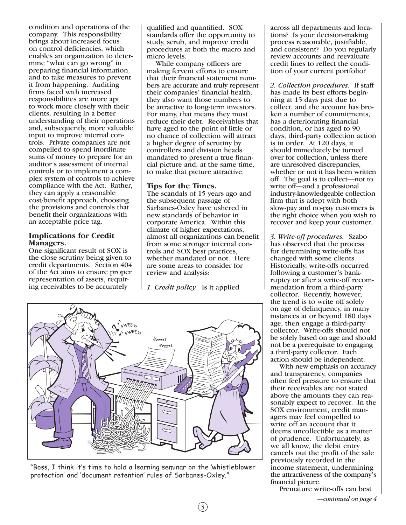condition and operations of the company. This responsibility brings about increased focus on control deficiencies, which enables an organization to determine "what can go wrong" in preparing financial information and to take measures to prevent it from happening. Auditing firms faced with increased responsibilities are more apt to work more closely with their clients, resulting in a better understanding of their operations and, subsequently, more valuable input to improve internal controls. Private companies are not compelled to spend inordinate sums of money to prepare for an auditor's assessment of internal controls or to implement a complex system of controls to achieve compliance with the Act. Rather, they can apply a reasonable cost/benefit approach, choosing the provisions and controls that benefit their organizations with an acceptable price tag.

# **Implications for Credit**

**Managers.** One significant result of SOX is the close scrutiny being given to credit departments. Section 404 of the Act aims to ensure proper representation of assets, requiring receivables to be accurately

qualified and quantified. SOX standards offer the opportunity to study, scrub, and improve credit procedures at both the macro and micro levels.

 While company officers are making fervent efforts to ensure that their financial statement numbers are accurate and truly represent their companies' financial health, they also want those numbers to be attractive to long-term investors. For many, that means they must reduce their debt. Receivables that have aged to the point of little or no chance of collection will attract a higher degree of scrutiny by controllers and division heads mandated to present a true financial picture and, at the same time, to make that picture attractive.

**Tips for the Times.** The scandals of <sup>15</sup> years ago and the subsequent passage of Sarbanes-Oxley have ushered in new standards of behavior in corporate America. Within this climate of higher expectations, almost all organizations can benefit from some stronger internal controls and SOX best practices, whether mandated or not. Here are some areas to consider for review and analysis:

*1. Credit policy.* Is it applied

3



"Boss, I think it's time to hold a learning seminar on the 'whistleblower protection' and 'document retention' rules of Sarbanes-Oxley."

across all departments and locations? Is your decision-making process reasonable, justifiable, and consistent? Do you regularly review accounts and reevaluate credit lines to reflect the condition of your current portfolio?

*2. Collection procedures.* If staff has made its best efforts beginning at 15 days past due to collect, and the account has broken a number of commitments, has a deteriorating financial condition, or has aged to 90 days, third-party collection action is in order. At 120 days, it should immediately be turned over for collection, unless there are unresolved discrepancies, whether or not it has been written off. The goal is to collect—not to write off—and a professional industry-knowledgeable collection firm that is adept with both slow-pay and no-pay customers is the right choice when you wish to recover and keep your customer.

*3. Write-off procedures.* Szabo has observed that the process for determining write-offs has changed with some clients. Historically, write-offs occurred following a customer's bankruptcy or after a write-off recommendation from a third-party collector. Recently, however, the trend is to write off solely on age of delinquency, in many instances at or beyond 180 days age, then engage a third-party collector. Write-offs should not be solely based on age and should not be a prerequisite to engaging a third-party collector. Each action should be independent.

 With new emphasis on accuracy and transparency, companies often feel pressure to ensure that their receivables are not stated above the amounts they can reasonably expect to recover. In the SOX environment, credit managers may feel compelled to write off an account that it deems uncollectible as a matter of prudence. Unfortunately, as we all know, the debit entry cancels out the profit of the sale previously recorded in the income statement, undermining the attractiveness of the company's financial picture.

Premature write-offs can best